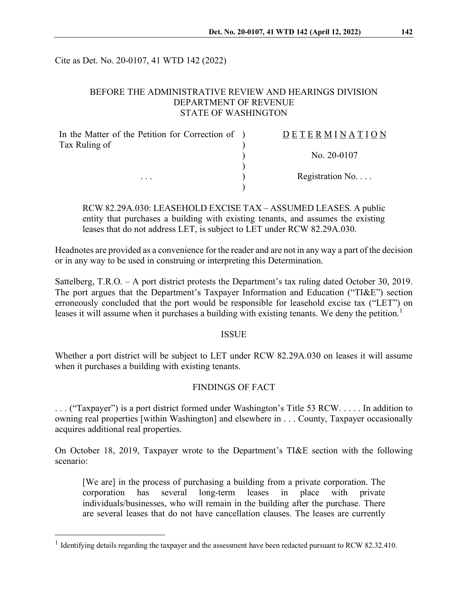Cite as Det. No. 20-0107, 41 WTD 142 (2022)

## BEFORE THE ADMINISTRATIVE REVIEW AND HEARINGS DIVISION DEPARTMENT OF REVENUE STATE OF WASHINGTON

| In the Matter of the Petition for Correction of ) | DETERMINATION            |
|---------------------------------------------------|--------------------------|
| Tax Ruling of                                     |                          |
|                                                   | No. $20-0107$            |
|                                                   | Registration No. $\dots$ |
| $\cdots$                                          |                          |

RCW 82.29A.030: LEASEHOLD EXCISE TAX – ASSUMED LEASES. A public entity that purchases a building with existing tenants, and assumes the existing leases that do not address LET, is subject to LET under RCW 82.29A.030.

Headnotes are provided as a convenience for the reader and are not in any way a part of the decision or in any way to be used in construing or interpreting this Determination.

Sattelberg, T.R.O. – A port district protests the Department's tax ruling dated October 30, 2019. The port argues that the Department's Taxpayer Information and Education ("TI&E") section erroneously concluded that the port would be responsible for leasehold excise tax ("LET") on leases it will assume when it purchases a building with existing tenants. We deny the petition.<sup>[1](#page-0-0)</sup>

### ISSUE

Whether a port district will be subject to LET under RCW 82.29A.030 on leases it will assume when it purchases a building with existing tenants.

### FINDINGS OF FACT

. . . ("Taxpayer") is a port district formed under Washington's Title 53 RCW. . . . . In addition to owning real properties [within Washington] and elsewhere in . . . County, Taxpayer occasionally acquires additional real properties.

On October 18, 2019, Taxpayer wrote to the Department's TI&E section with the following scenario:

[We are] in the process of purchasing a building from a private corporation. The corporation has several long-term leases in place with private individuals/businesses, who will remain in the building after the purchase. There are several leases that do not have cancellation clauses. The leases are currently

<span id="page-0-0"></span><sup>&</sup>lt;sup>1</sup> Identifying details regarding the taxpayer and the assessment have been redacted pursuant to RCW 82.32.410.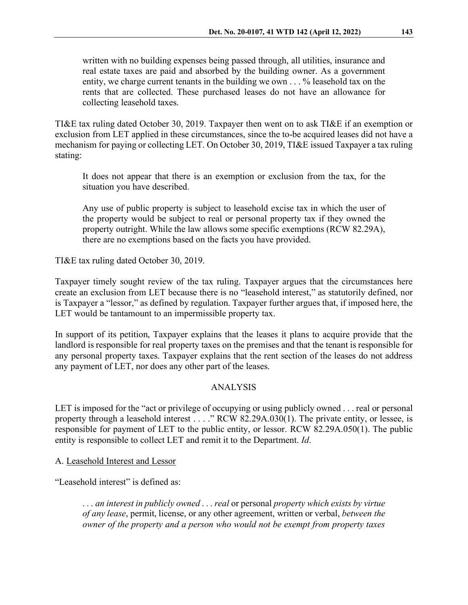written with no building expenses being passed through, all utilities, insurance and real estate taxes are paid and absorbed by the building owner. As a government entity, we charge current tenants in the building we own . . . % leasehold tax on the rents that are collected. These purchased leases do not have an allowance for collecting leasehold taxes.

TI&E tax ruling dated October 30, 2019. Taxpayer then went on to ask TI&E if an exemption or exclusion from LET applied in these circumstances, since the to-be acquired leases did not have a mechanism for paying or collecting LET. On October 30, 2019, TI&E issued Taxpayer a tax ruling stating:

It does not appear that there is an exemption or exclusion from the tax, for the situation you have described.

Any use of public property is subject to leasehold excise tax in which the user of the property would be subject to real or personal property tax if they owned the property outright. While the law allows some specific exemptions (RCW 82.29A), there are no exemptions based on the facts you have provided.

TI&E tax ruling dated October 30, 2019.

Taxpayer timely sought review of the tax ruling. Taxpayer argues that the circumstances here create an exclusion from LET because there is no "leasehold interest," as statutorily defined, nor is Taxpayer a "lessor," as defined by regulation. Taxpayer further argues that, if imposed here, the LET would be tantamount to an impermissible property tax.

In support of its petition, Taxpayer explains that the leases it plans to acquire provide that the landlord is responsible for real property taxes on the premises and that the tenant is responsible for any personal property taxes. Taxpayer explains that the rent section of the leases do not address any payment of LET, nor does any other part of the leases.

### ANALYSIS

LET is imposed for the "act or privilege of occupying or using publicly owned . . . real or personal property through a leasehold interest . . . ." RCW 82.29A.030(1). The private entity, or lessee, is responsible for payment of LET to the public entity, or lessor. RCW 82.29A.050(1). The public entity is responsible to collect LET and remit it to the Department. *Id*.

A. Leasehold Interest and Lessor

"Leasehold interest" is defined as:

. . . *an interest in publicly owned* . . . *real* or personal *property which exists by virtue of any lease*, permit, license, or any other agreement, written or verbal, *between the owner of the property and a person who would not be exempt from property taxes*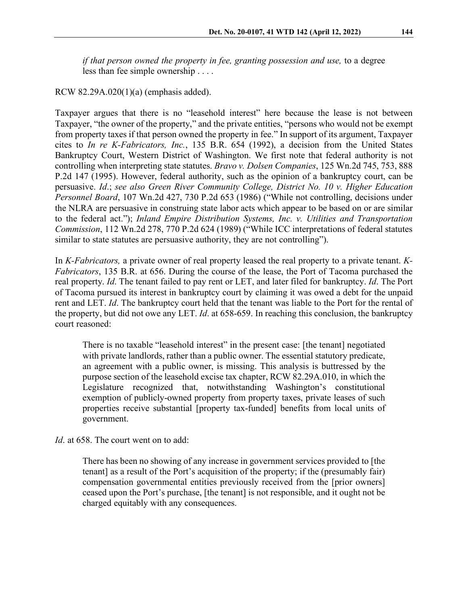*if that person owned the property in fee, granting possession and use, to a degree* less than fee simple ownership . . . .

### RCW 82.29A.020(1)(a) (emphasis added).

Taxpayer argues that there is no "leasehold interest" here because the lease is not between Taxpayer, "the owner of the property," and the private entities, "persons who would not be exempt from property taxes if that person owned the property in fee." In support of its argument, Taxpayer cites to *In re K-Fabricators, Inc.*, 135 B.R. 654 (1992), a decision from the United States Bankruptcy Court, Western District of Washington. We first note that federal authority is not controlling when interpreting state statutes. *Bravo v. Dolsen Companies*, 125 Wn.2d 745, 753, 888 P.2d 147 (1995). However, federal authority, such as the opinion of a bankruptcy court, can be persuasive. *Id*.; *see also Green River Community College, District No. 10 v. Higher Education Personnel Board*, 107 Wn.2d 427, 730 P.2d 653 (1986) ("While not controlling, decisions under the NLRA are persuasive in construing state labor acts which appear to be based on or are similar to the federal act."); *Inland Empire Distribution Systems, Inc. v. Utilities and Transportation Commission*, 112 Wn.2d 278, 770 P.2d 624 (1989) ("While ICC interpretations of federal statutes similar to state statutes are persuasive authority, they are not controlling").

In *K-Fabricators,* a private owner of real property leased the real property to a private tenant. *K-Fabricators*, 135 B.R. at 656. During the course of the lease, the Port of Tacoma purchased the real property. *Id*. The tenant failed to pay rent or LET, and later filed for bankruptcy. *Id*. The Port of Tacoma pursued its interest in bankruptcy court by claiming it was owed a debt for the unpaid rent and LET. *Id*. The bankruptcy court held that the tenant was liable to the Port for the rental of the property, but did not owe any LET. *Id*. at 658-659. In reaching this conclusion, the bankruptcy court reasoned:

There is no taxable "leasehold interest" in the present case: [the tenant] negotiated with private landlords, rather than a public owner. The essential statutory predicate, an agreement with a public owner, is missing. This analysis is buttressed by the purpose section of the leasehold excise tax chapter, RCW 82.29A.010, in which the Legislature recognized that, notwithstanding Washington's constitutional exemption of publicly-owned property from property taxes, private leases of such properties receive substantial [property tax-funded] benefits from local units of government.

*Id*. at 658. The court went on to add:

There has been no showing of any increase in government services provided to [the tenant] as a result of the Port's acquisition of the property; if the (presumably fair) compensation governmental entities previously received from the [prior owners] ceased upon the Port's purchase, [the tenant] is not responsible, and it ought not be charged equitably with any consequences.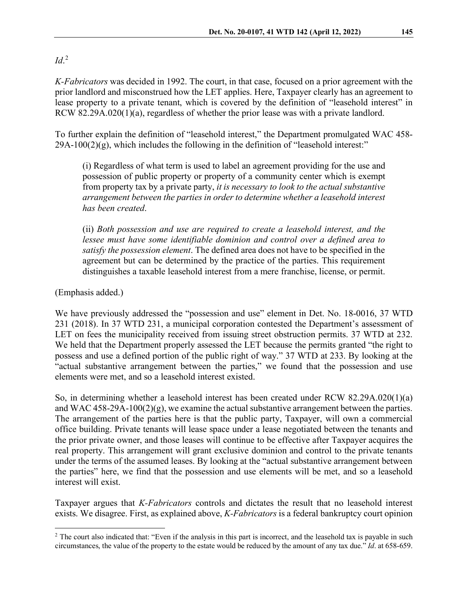# *Id*. [2](#page-3-0)

*K-Fabricators* was decided in 1992. The court, in that case, focused on a prior agreement with the prior landlord and misconstrued how the LET applies. Here, Taxpayer clearly has an agreement to lease property to a private tenant, which is covered by the definition of "leasehold interest" in RCW 82.29A.020(1)(a), regardless of whether the prior lease was with a private landlord.

To further explain the definition of "leasehold interest," the Department promulgated WAC 458-  $29A-100(2)(g)$ , which includes the following in the definition of "leasehold interest:"

(i) Regardless of what term is used to label an agreement providing for the use and possession of public property or property of a community center which is exempt from property tax by a private party, *it is necessary to look to the actual substantive arrangement between the parties in order to determine whether a leasehold interest has been created*.

(ii) *Both possession and use are required to create a leasehold interest, and the lessee must have some identifiable dominion and control over a defined area to satisfy the possession element*. The defined area does not have to be specified in the agreement but can be determined by the practice of the parties. This requirement distinguishes a taxable leasehold interest from a mere franchise, license, or permit.

(Emphasis added.)

We have previously addressed the "possession and use" element in Det. No. 18-0016, 37 WTD 231 (2018). In 37 WTD 231, a municipal corporation contested the Department's assessment of LET on fees the municipality received from issuing street obstruction permits. 37 WTD at 232. We held that the Department properly assessed the LET because the permits granted "the right to possess and use a defined portion of the public right of way." 37 WTD at 233. By looking at the "actual substantive arrangement between the parties," we found that the possession and use elements were met, and so a leasehold interest existed.

So, in determining whether a leasehold interest has been created under RCW 82.29A.020(1)(a) and WAC  $458-29A-100(2)(g)$ , we examine the actual substantive arrangement between the parties. The arrangement of the parties here is that the public party, Taxpayer, will own a commercial office building. Private tenants will lease space under a lease negotiated between the tenants and the prior private owner, and those leases will continue to be effective after Taxpayer acquires the real property. This arrangement will grant exclusive dominion and control to the private tenants under the terms of the assumed leases. By looking at the "actual substantive arrangement between the parties" here, we find that the possession and use elements will be met, and so a leasehold interest will exist.

Taxpayer argues that *K-Fabricators* controls and dictates the result that no leasehold interest exists. We disagree. First, as explained above, *K-Fabricators* is a federal bankruptcy court opinion

<span id="page-3-0"></span><sup>&</sup>lt;sup>2</sup> The court also indicated that: "Even if the analysis in this part is incorrect, and the leasehold tax is payable in such circumstances, the value of the property to the estate would be reduced by the amount of any tax due." *Id*. at 658-659.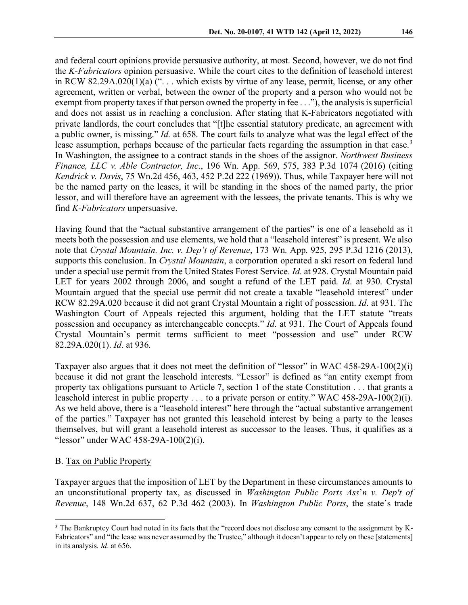and federal court opinions provide persuasive authority, at most. Second, however, we do not find the *K-Fabricators* opinion persuasive. While the court cites to the definition of leasehold interest in RCW 82.29A.020(1)(a) (". . . which exists by virtue of any lease, permit, license, or any other agreement, written or verbal, between the owner of the property and a person who would not be exempt from property taxes if that person owned the property in fee . . ."), the analysis is superficial and does not assist us in reaching a conclusion. After stating that K-Fabricators negotiated with private landlords, the court concludes that "[t]he essential statutory predicate, an agreement with a public owner, is missing." *Id.* at 658. The court fails to analyze what was the legal effect of the lease assumption, perhaps because of the particular facts regarding the assumption in that case.<sup>[3](#page-4-0)</sup> In Washington, the assignee to a contract stands in the shoes of the assignor. *Northwest Business Finance, LLC v. Able Contractor, Inc*., 196 Wn. App. 569, 575, 383 P.3d 1074 (2016) (citing *Kendrick v. Davis*, 75 Wn.2d 456, 463, 452 P.2d 222 (1969)). Thus, while Taxpayer here will not be the named party on the leases, it will be standing in the shoes of the named party, the prior lessor, and will therefore have an agreement with the lessees, the private tenants. This is why we find *K-Fabricators* unpersuasive.

Having found that the "actual substantive arrangement of the parties" is one of a leasehold as it meets both the possession and use elements, we hold that a "leasehold interest" is present. We also note that *Crystal Mountain, Inc. v. Dep't of Revenue*, 173 Wn. App. 925, 295 P.3d 1216 (2013), supports this conclusion. In *Crystal Mountain*, a corporation operated a ski resort on federal land under a special use permit from the United States Forest Service. *Id*. at 928. Crystal Mountain paid LET for years 2002 through 2006, and sought a refund of the LET paid. *Id*. at 930. Crystal Mountain argued that the special use permit did not create a taxable "leasehold interest" under RCW 82.29A.020 because it did not grant Crystal Mountain a right of possession. *Id*. at 931. The Washington Court of Appeals rejected this argument, holding that the LET statute "treats possession and occupancy as interchangeable concepts." *Id*. at 931. The Court of Appeals found Crystal Mountain's permit terms sufficient to meet "possession and use" under RCW 82.29A.020(1). *Id*. at 936.

Taxpayer also argues that it does not meet the definition of "lessor" in WAC 458-29A-100(2)(i) because it did not grant the leasehold interests. "Lessor" is defined as "an entity exempt from property tax obligations pursuant to Article 7, section 1 of the state Constitution . . . that grants a leasehold interest in public property . . . to a private person or entity." WAC 458-29A-100(2)(i). As we held above, there is a "leasehold interest" here through the "actual substantive arrangement of the parties." Taxpayer has not granted this leasehold interest by being a party to the leases themselves, but will grant a leasehold interest as successor to the leases. Thus, it qualifies as a "lessor" under WAC 458-29A-100(2)(i).

#### B. Tax on Public Property

Taxpayer argues that the imposition of LET by the Department in these circumstances amounts to an unconstitutional property tax, as discussed in *Washington Public Ports Ass*'*n v. Dep't of Revenue*, 148 Wn.2d 637, 62 P.3d 462 (2003). In *Washington Public Ports*, the state's trade

<span id="page-4-0"></span><sup>&</sup>lt;sup>3</sup> The Bankruptcy Court had noted in its facts that the "record does not disclose any consent to the assignment by K-Fabricators" and "the lease was never assumed by the Trustee," although it doesn't appear to rely on these [statements] in its analysis. *Id*. at 656.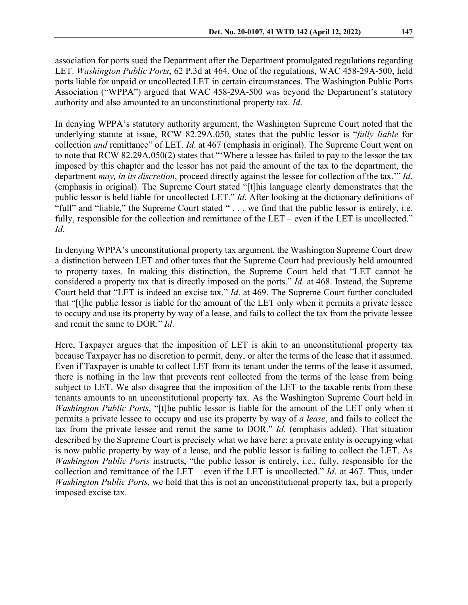association for ports sued the Department after the Department promulgated regulations regarding LET. *Washington Public Ports*, 62 P.3d at 464. One of the regulations, WAC 458-29A-500, held ports liable for unpaid or uncollected LET in certain circumstances. The Washington Public Ports Association ("WPPA") argued that WAC 458-29A-500 was beyond the Department's statutory authority and also amounted to an unconstitutional property tax. *Id*.

In denying WPPA's statutory authority argument, the Washington Supreme Court noted that the underlying statute at issue, RCW 82.29A.050, states that the public lessor is "*fully liable* for collection *and* remittance" of LET. *Id*. at 467 (emphasis in original). The Supreme Court went on to note that RCW 82.29A.050(2) states that "'Where a lessee has failed to pay to the lessor the tax imposed by this chapter and the lessor has not paid the amount of the tax to the department, the department *may, in its discretion*, proceed directly against the lessee for collection of the tax.'" *Id*. (emphasis in original). The Supreme Court stated "[t]his language clearly demonstrates that the public lessor is held liable for uncollected LET." *Id*. After looking at the dictionary definitions of "full" and "liable," the Supreme Court stated " . . . we find that the public lessor is entirely, i.e. fully, responsible for the collection and remittance of the LET – even if the LET is uncollected." *Id*.

In denying WPPA's unconstitutional property tax argument, the Washington Supreme Court drew a distinction between LET and other taxes that the Supreme Court had previously held amounted to property taxes. In making this distinction, the Supreme Court held that "LET cannot be considered a property tax that is directly imposed on the ports." *Id*. at 468. Instead, the Supreme Court held that "LET is indeed an excise tax." *Id*. at 469. The Supreme Court further concluded that "[t]he public lessor is liable for the amount of the LET only when it permits a private lessee to occupy and use its property by way of a lease, and fails to collect the tax from the private lessee and remit the same to DOR." *Id*.

Here, Taxpayer argues that the imposition of LET is akin to an unconstitutional property tax because Taxpayer has no discretion to permit, deny, or alter the terms of the lease that it assumed. Even if Taxpayer is unable to collect LET from its tenant under the terms of the lease it assumed, there is nothing in the law that prevents rent collected from the terms of the lease from being subject to LET. We also disagree that the imposition of the LET to the taxable rents from these tenants amounts to an unconstitutional property tax. As the Washington Supreme Court held in *Washington Public Ports*, "[t]he public lessor is liable for the amount of the LET only when it permits a private lessee to occupy and use its property by way of *a lease*, and fails to collect the tax from the private lessee and remit the same to DOR." *Id*. (emphasis added). That situation described by the Supreme Court is precisely what we have here: a private entity is occupying what is now public property by way of a lease, and the public lessor is failing to collect the LET. As *Washington Public Ports* instructs, "the public lessor is entirely, i.e., fully, responsible for the collection and remittance of the LET – even if the LET is uncollected." *Id*. at 467. Thus, under *Washington Public Ports,* we hold that this is not an unconstitutional property tax, but a properly imposed excise tax.